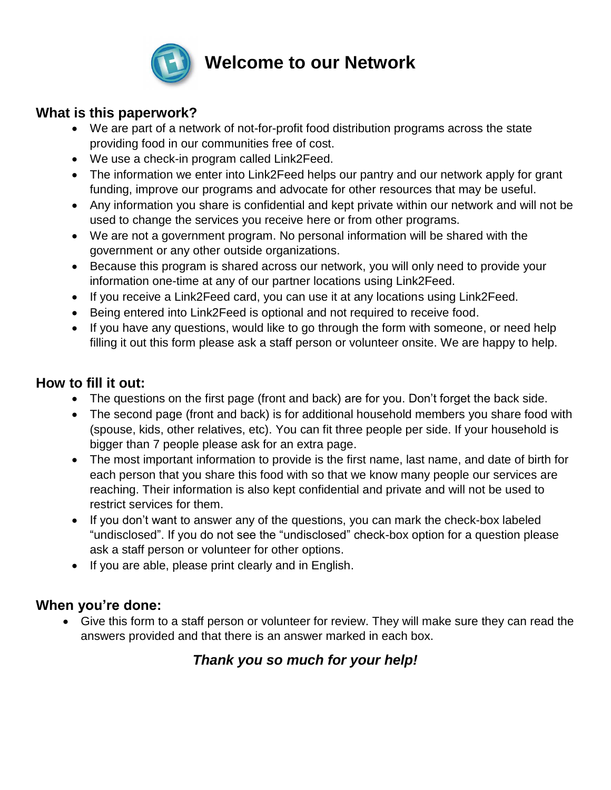

# **Welcome to our Network**

#### **What is this paperwork?**

- We are part of a network of not-for-profit food distribution programs across the state providing food in our communities free of cost.
- We use a check-in program called Link2Feed.
- The information we enter into Link2Feed helps our pantry and our network apply for grant funding, improve our programs and advocate for other resources that may be useful.
- Any information you share is confidential and kept private within our network and will not be used to change the services you receive here or from other programs.
- We are not a government program. No personal information will be shared with the government or any other outside organizations.
- Because this program is shared across our network, you will only need to provide your information one-time at any of our partner locations using Link2Feed.
- If you receive a Link2Feed card, you can use it at any locations using Link2Feed.
- Being entered into Link2Feed is optional and not required to receive food.
- If you have any questions, would like to go through the form with someone, or need help filling it out this form please ask a staff person or volunteer onsite. We are happy to help.

## **How to fill it out:**

- The questions on the first page (front and back) are for you. Don't forget the back side.
- The second page (front and back) is for additional household members you share food with (spouse, kids, other relatives, etc). You can fit three people per side. If your household is bigger than 7 people please ask for an extra page.
- The most important information to provide is the first name, last name, and date of birth for each person that you share this food with so that we know many people our services are reaching. Their information is also kept confidential and private and will not be used to restrict services for them.
- If you don't want to answer any of the questions, you can mark the check-box labeled "undisclosed". If you do not see the "undisclosed" check-box option for a question please ask a staff person or volunteer for other options.
- If you are able, please print clearly and in English.

## **When you're done:**

 Give this form to a staff person or volunteer for review. They will make sure they can read the answers provided and that there is an answer marked in each box.

## *Thank you so much for your help!*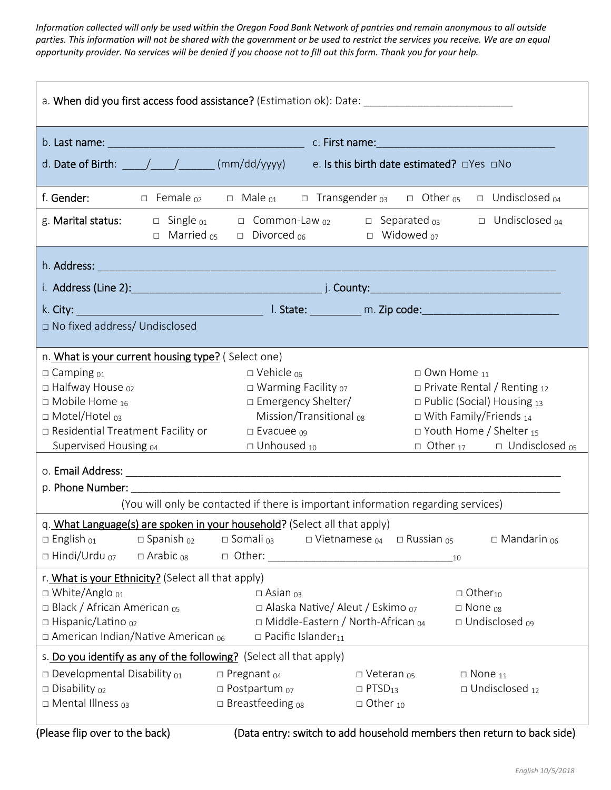*Information collected will only be used within the Oregon Food Bank Network of pantries and remain anonymous to all outside parties. This information will not be shared with the government or be used to restrict the services you receive. We are an equal opportunity provider. No services will be denied if you choose not to fill out this form. Thank you for your help.* 

| a. When did you first access food assistance? (Estimation ok): Date: _______________________________                                                                                                                                                     |                                                                                                                                                                                 |                                                                                                                                                                                                                               |  |  |
|----------------------------------------------------------------------------------------------------------------------------------------------------------------------------------------------------------------------------------------------------------|---------------------------------------------------------------------------------------------------------------------------------------------------------------------------------|-------------------------------------------------------------------------------------------------------------------------------------------------------------------------------------------------------------------------------|--|--|
|                                                                                                                                                                                                                                                          |                                                                                                                                                                                 |                                                                                                                                                                                                                               |  |  |
| d. Date of Birth: _____/______/_______(mm/dd/yyyy) e. Is this birth date estimated? dYes dNo                                                                                                                                                             |                                                                                                                                                                                 |                                                                                                                                                                                                                               |  |  |
| f. <b>Gender:</b>                                                                                                                                                                                                                                        | $\Box$ Female $_{02}$ $\Box$ Male $_{01}$                                                                                                                                       | $\square$ Transgender $_{03}$ $\square$ Other $_{05}$ $\square$ Undisclosed $_{04}$                                                                                                                                           |  |  |
|                                                                                                                                                                                                                                                          | $\Box$ Married <sub>05</sub> $\Box$ Divorced <sub>06</sub> $\Box$ Widowed <sub>07</sub>                                                                                         | g. Marital status: $\Box$ Single $_{01}$ $\Box$ Common-Law $_{02}$ $\Box$ Separated $_{03}$ $\Box$ Undisclosed $_{04}$                                                                                                        |  |  |
|                                                                                                                                                                                                                                                          |                                                                                                                                                                                 |                                                                                                                                                                                                                               |  |  |
| i. Address (Line 2): 1. 2012 1. 2014 1. 2014 1. 2014 1. 2014 1. 2014 1. 2014 1. 2014 1. 2015 1. 2016 1. 2016 1                                                                                                                                           |                                                                                                                                                                                 |                                                                                                                                                                                                                               |  |  |
|                                                                                                                                                                                                                                                          |                                                                                                                                                                                 | k. City: 1. State: 1. March 2010 1. State: 1. March 2010 1. State: 2. March 2010 1. State: 2. March 2010 1. State: 2. March 2010 1. March 2010 1. March 2010 1. March 2010 1. March 2010 1. March 2010 1. March 2010 1. March |  |  |
| □ No fixed address/ Undisclosed                                                                                                                                                                                                                          |                                                                                                                                                                                 |                                                                                                                                                                                                                               |  |  |
| n. What is your current housing type? (Select one)<br>$\square$ Camping $_{01}$<br>$\square$ Halfway House $_{02}$<br>$\Box$ Mobile Home <sub>16</sub><br>□ Motel/Hotel 03<br>□ Residential Treatment Facility or<br>Supervised Housing 04               | $\Box$ Vehicle $_{06}$<br>$\Box$ Warming Facility $_{07}$<br>□ Emergency Shelter/<br>Mission/Transitional <sub>08</sub><br>$\square$ Evacuee $_{09}$<br>$\Box$ Unhoused $_{10}$ | $\square$ Own Home $_{11}$<br>$\Box$ Private Rental / Renting 12<br>$\Box$ Public (Social) Housing 13<br>$\Box$ With Family/Friends 14<br>□ Youth Home / Shelter 15<br>$\Box$ Other 17 $\Box$ Undisclosed 05                  |  |  |
| (You will only be contacted if there is important information regarding services)                                                                                                                                                                        |                                                                                                                                                                                 |                                                                                                                                                                                                                               |  |  |
| q. What Language(s) are spoken in your household? (Select all that apply)<br>$\Box$ English $_{01}$<br>$\square$ Spanish $_{02}$<br>$\Box$ Hindi/Urdu $_{07}$<br>$\Box$ Arabic <sub>08</sub>                                                             | $\square$ Somali 03 $\square$ Vietnamese 04 $\square$ Russian 05<br>□ Other:                                                                                                    | $\square$ Mandarin $_{06}$<br>10                                                                                                                                                                                              |  |  |
| r. What is your Ethnicity? (Select all that apply)<br>□ White/Anglo 01<br>□ Black / African American os<br>□ Hispanic/Latino 02<br>$\Box$ American Indian/Native American $_{06}$<br>s. Do you identify as any of the following? (Select all that apply) | $\square$ Asian $_{03}$<br>□ Alaska Native/ Aleut / Eskimo 07<br>$\Box$ Middle-Eastern / North-African $_{04}$<br>$\Box$ Pacific Islander <sub>11</sub>                         | $\Box$ Other <sub>10</sub><br>$\square$ None $_{08}$<br>□ Undisclosed <sub>09</sub>                                                                                                                                           |  |  |
| $\square$ Developmental Disability $_{01}$<br>$\square$ Disability $_{02}$<br>$\Box$ Mental Illness $_{03}$                                                                                                                                              | $\square$ Pregnant $_{04}$<br>$\square$ Postpartum $_{07}$<br>$\square$ Breastfeeding $_{08}$                                                                                   | $\square$ Veteran $_{05}$<br>$\Box$ None $_{11}$<br>$\Box$ Undisclosed $_{12}$<br>$\Box$ PTSD <sub>13</sub><br>$\Box$ Other $_{10}$                                                                                           |  |  |
| (Please flip over to the back)                                                                                                                                                                                                                           |                                                                                                                                                                                 | (Data entry: switch to add household members then return to back side)                                                                                                                                                        |  |  |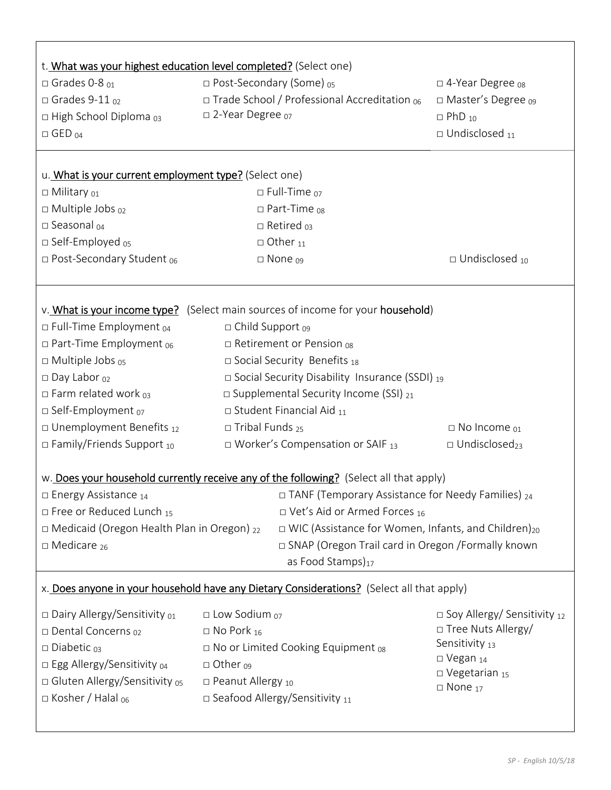|                                                                                                                                  | t. What was your highest education level completed? (Select one)                          |                                  |  |
|----------------------------------------------------------------------------------------------------------------------------------|-------------------------------------------------------------------------------------------|----------------------------------|--|
| $\Box$ Grades 0-8 $_{01}$                                                                                                        | □ Post-Secondary (Some) os                                                                | □ 4-Year Degree <sub>08</sub>    |  |
| $\Box$ Grades 9-11 $\omega$                                                                                                      | □ Trade School / Professional Accreditation 06                                            | $\Box$ Master's Degree $_{09}$   |  |
| $\Box$ High School Diploma $_{03}$                                                                                               | □ 2-Year Degree o7                                                                        | $\Box$ PhD $_{10}$               |  |
| $\Box$ GED $_{04}$                                                                                                               |                                                                                           | $\square$ Undisclosed $_{11}$    |  |
|                                                                                                                                  |                                                                                           |                                  |  |
| u. What is your current employment type? (Select one)                                                                            |                                                                                           |                                  |  |
| □ Military 01                                                                                                                    | $\square$ Full-Time $_{07}$                                                               |                                  |  |
| $\Box$ Multiple Jobs $_{02}$                                                                                                     | $\Box$ Part-Time $_{08}$                                                                  |                                  |  |
| $\square$ Seasonal $_{04}$                                                                                                       | $\Box$ Retired $_{03}$                                                                    |                                  |  |
| $\square$ Self-Employed $_{05}$                                                                                                  | $\Box$ Other $_{11}$                                                                      |                                  |  |
| $\square$ Post-Secondary Student $_{06}$                                                                                         | $\square$ None $_{09}$                                                                    | $\Box$ Undisclosed 10            |  |
|                                                                                                                                  |                                                                                           |                                  |  |
|                                                                                                                                  | v. What is your income type? (Select main sources of income for your household)           |                                  |  |
| $\Box$ Full-Time Employment $_{04}$                                                                                              | $\Box$ Child Support $_{09}$                                                              |                                  |  |
| $\Box$ Part-Time Employment $_{06}$                                                                                              | $\Box$ Retirement or Pension $_{08}$                                                      |                                  |  |
| $\Box$ Multiple Jobs $_{05}$                                                                                                     | $\square$ Social Security Benefits 18                                                     |                                  |  |
| $\square$ Day Labor $_{02}$                                                                                                      | $\Box$ Social Security Disability Insurance (SSDI) 19                                     |                                  |  |
| $\Box$ Farm related work $_{03}$                                                                                                 | $\square$ Supplemental Security Income (SSI) $_{21}$                                      |                                  |  |
| □ Self-Employment 07                                                                                                             | $\square$ Student Financial Aid $_{11}$                                                   |                                  |  |
| $\square$ Unemployment Benefits $_{12}$                                                                                          | $\square$ Tribal Funds <sub>25</sub>                                                      | $\Box$ No Income $_{01}$         |  |
| $\Box$ Family/Friends Support 10                                                                                                 | □ Worker's Compensation or SAIF 13                                                        | $\Box$ Undisclosed <sub>23</sub> |  |
|                                                                                                                                  | w. Does your household currently receive any of the following? (Select all that apply)    |                                  |  |
| $\Box$ TANF (Temporary Assistance for Needy Families) <sub>24</sub><br>$\Box$ Energy Assistance <sub>14</sub>                    |                                                                                           |                                  |  |
| $\Box$ Free or Reduced Lunch 15                                                                                                  | $\Box$ Vet's Aid or Armed Forces <sub>16</sub>                                            |                                  |  |
| $\Box$ Medicaid (Oregon Health Plan in Oregon) $_{22}$<br>$\Box$ WIC (Assistance for Women, Infants, and Children) <sub>20</sub> |                                                                                           |                                  |  |
| □ SNAP (Oregon Trail card in Oregon /Formally known<br>$\square$ Medicare <sub>26</sub>                                          |                                                                                           |                                  |  |
|                                                                                                                                  | as Food Stamps) <sub>17</sub>                                                             |                                  |  |
|                                                                                                                                  | x. Does anyone in your household have any Dietary Considerations? (Select all that apply) |                                  |  |
| $\square$ Dairy Allergy/Sensitivity $_{01}$                                                                                      | $\square$ Low Sodium $_{07}$                                                              | □ Soy Allergy/ Sensitivity 12    |  |
| □ Dental Concerns 02                                                                                                             | $\Box$ No Pork 16                                                                         | □ Tree Nuts Allergy/             |  |
| $\square$ Diabetic $_{03}$                                                                                                       | $\Box$ No or Limited Cooking Equipment $_{08}$                                            | Sensitivity 13                   |  |
| □ Egg Allergy/Sensitivity 04                                                                                                     | $\Box$ Other $_{09}$                                                                      | $\square$ Vegan $_{14}$          |  |
| □ Gluten Allergy/Sensitivity os                                                                                                  | □ Peanut Allergy 10                                                                       | $\square$ Vegetarian 15          |  |
| $\Box$ Kosher / Halal <sub>06</sub>                                                                                              | $\square$ Seafood Allergy/Sensitivity $_{11}$                                             | $\square$ None $_{17}$           |  |
|                                                                                                                                  |                                                                                           |                                  |  |
|                                                                                                                                  |                                                                                           |                                  |  |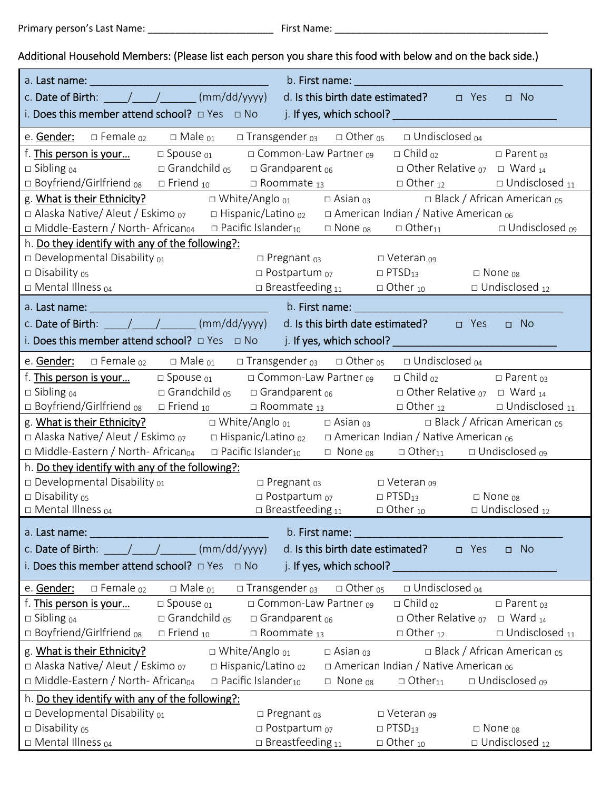## Additional Household Members: (Please list each person you share this food with below and on the back side.)

| b. First name:<br>a. Last name:<br><u> 2002 - Jan James James Barbara, martxa eta politikaria (h. 1</u>                                                                                                                                                                                                                                                                                                                        |
|--------------------------------------------------------------------------------------------------------------------------------------------------------------------------------------------------------------------------------------------------------------------------------------------------------------------------------------------------------------------------------------------------------------------------------|
| c. Date of Birth: $\frac{1}{\sqrt{1-\frac{1}{2}}}\frac{1}{\sqrt{1-\frac{1}{2}}}\frac{1}{\sqrt{1-\frac{1}{2}}}\frac{1}{\sqrt{1-\frac{1}{2}}}\frac{1}{\sqrt{1-\frac{1}{2}}}\frac{1}{\sqrt{1-\frac{1}{2}}}\frac{1}{\sqrt{1-\frac{1}{2}}}\frac{1}{\sqrt{1-\frac{1}{2}}}\frac{1}{\sqrt{1-\frac{1}{2}}}\frac{1}{\sqrt{1-\frac{1}{2}}}\frac{1}{\sqrt{1-\frac{1}{2}}}\frac{1}{\sqrt{1-\frac{1}{2}}}\frac{1}{\sqrt{1-\$<br>$\square$ No |
|                                                                                                                                                                                                                                                                                                                                                                                                                                |
| e. <b>Gender:</b> $\Box$ Female $_{02}$ $\Box$ Male $_{01}$ $\Box$ Transgender $_{03}$ $\Box$ Other $_{05}$ $\Box$ Undisclosed $_{04}$                                                                                                                                                                                                                                                                                         |
| f. <b>This person is your</b><br>$\Box$ Spouse $_{01}$ $\Box$ Common-Law Partner $_{09}$ $\Box$ Child $_{02}$<br>$\square$ Parent $_{03}$                                                                                                                                                                                                                                                                                      |
| $\square$ Grandchild $_{05}$ $\square$ Grandparent $_{06}$ $\square$ Other Relative $_{07}$ $\square$ Ward $_{14}$<br>$\Box$ Sibling $_{04}$                                                                                                                                                                                                                                                                                   |
| □ Boyfriend/Girlfriend <sub>08</sub> □ Friend <sub>10</sub> □ Roommate <sub>13</sub> □ Other <sub>12</sub> □ Undisclosed <sub>11</sub>                                                                                                                                                                                                                                                                                         |
| g. What is their Ethnicity? $\square$ White/Anglo $_{01}$ $\square$ Asian $_{03}$ $\square$ Black / African American $_{05}$                                                                                                                                                                                                                                                                                                   |
| □ Alaska Native/ Aleut / Eskimo $_{07}$ □ Hispanic/Latino $_{02}$ □ American Indian / Native American $_{06}$                                                                                                                                                                                                                                                                                                                  |
| $\Box$ Middle-Eastern / North-African <sub>04</sub> $\Box$ Pacific Islander <sub>10</sub> $\Box$ None <sub>08</sub> $\Box$ Other <sub>11</sub> $\Box$ Undisclosed <sub>09</sub>                                                                                                                                                                                                                                                |
| h. Do they identify with any of the following?:                                                                                                                                                                                                                                                                                                                                                                                |
| $\square$ Developmental Disability $_{01}$<br>□ Pregnant 03 □ Veteran 09                                                                                                                                                                                                                                                                                                                                                       |
| $\square$ Disability $05$<br>$\square$ Postpartum $_{07}$ $\square$ PTSD <sub>13</sub> $\square$ None $_{08}$                                                                                                                                                                                                                                                                                                                  |
| $\Box$ Breastfeeding 11 $\Box$ Other 10 $\Box$ Undisclosed 12<br>□ Mental Illness 04                                                                                                                                                                                                                                                                                                                                           |
|                                                                                                                                                                                                                                                                                                                                                                                                                                |
| c. Date of Birth: $\frac{1}{\sqrt{2}}$ (mm/dd/yyyy) d. Is this birth date estimated? $\Box$ Yes<br>$\Box$ No                                                                                                                                                                                                                                                                                                                   |
| i. Does this member attend school? $\Box$ Yes $\Box$ No i. If yes, which school?                                                                                                                                                                                                                                                                                                                                               |
| e. <b>Gender:</b> □ Female <sub>02</sub> □ Male <sub>01</sub> □ Transgender <sub>03</sub> □ Other <sub>05</sub> □ Undisclosed <sub>04</sub> □                                                                                                                                                                                                                                                                                  |
| $\Box$ Spouse $_{01}$ $\Box$ Common-Law Partner $_{09}$ $\Box$ Child $_{02}$<br>f. <b>This person is your</b><br>$\square$ Parent $_{03}$                                                                                                                                                                                                                                                                                      |
| $\square$ Grandchild <sub>05</sub> $\square$ Grandparent <sub>06</sub> $\square$ Other Relative <sub>07</sub> $\square$ Ward <sub>14</sub><br>$\Box$ Sibling $_{04}$                                                                                                                                                                                                                                                           |
| $\Box$ Boyfriend/Girlfriend 08 $\Box$ Friend 10 $\Box$ Roommate 13 $\Box$ Other 12 $\Box$ Undisclosed 11                                                                                                                                                                                                                                                                                                                       |
| g. What is their Ethnicity? $\square$ White/Anglo $_{01}$ $\square$ Asian $_{03}$ $\square$ Black / African American $_{05}$                                                                                                                                                                                                                                                                                                   |
| □ Alaska Native/ Aleut / Eskimo $_{07}$ □ Hispanic/Latino $_{02}$ □ American Indian / Native American $_{06}$                                                                                                                                                                                                                                                                                                                  |
| $\Box$ Middle-Eastern / North-African <sub>04</sub> $\Box$ Pacific Islander <sub>10</sub> $\Box$ None <sub>08</sub> $\Box$ Other <sub>11</sub> $\Box$ Undisclosed <sub>09</sub>                                                                                                                                                                                                                                                |
| h. Do they identify with any of the following?:                                                                                                                                                                                                                                                                                                                                                                                |
| $\square$ Developmental Disability $_{01}$<br>$\square$ Pregnant $_{03}$ $\square$ Veteran $_{09}$                                                                                                                                                                                                                                                                                                                             |
| $\square$ Disability $_{05}$<br>$\square$ Postpartum $_{07}$<br>$\Box$ PTSD <sub>13</sub><br>$\Box$ None $_{08}$                                                                                                                                                                                                                                                                                                               |
| $\Box$ Mental Illness $04$<br>$\Box$ Breastfeeding 11<br>$\Box$ Undisclosed 12<br>$\Box$ Other $_{10}$                                                                                                                                                                                                                                                                                                                         |
| b. First name:<br>a. Last name:                                                                                                                                                                                                                                                                                                                                                                                                |
| c. Date of Birth: $\frac{1}{2}$ / $\frac{1}{2}$ (mm/dd/yyyy)<br>d. Is this birth date estimated?<br>$\square$ No<br>$\Box$ Yes                                                                                                                                                                                                                                                                                                 |
| i. Does this member attend school? $\Box$ Yes $\Box$ No<br>j. If yes, which school? _                                                                                                                                                                                                                                                                                                                                          |
| $\Box$ Undisclosed $_{04}$<br>$\Box$ Male $_{01}$<br>$\square$ Transgender $_{03}$<br>e. Gender:<br>$\square$ Female $_{02}$<br>$\Box$ Other <sub>05</sub>                                                                                                                                                                                                                                                                     |
| □ Common-Law Partner 09<br>$\Box$ Child $_{02}$<br>f. This person is your<br>$\square$ Parent $_{03}$<br>$\square$ Spouse $_{01}$                                                                                                                                                                                                                                                                                              |
| $\Box$ Sibling $_{04}$<br>$\square$ Grandchild $_{05}$<br>$\Box$ Other Relative $_{07}$<br>$\Box$ Grandparent $_{06}$<br>$\Box$ Ward $_{14}$                                                                                                                                                                                                                                                                                   |
| □ Boyfriend/Girlfriend <sub>08</sub><br>$\Box$ Undisclosed $_{11}$<br>$\Box$ Friend $_{10}$<br>$\square$ Roommate $_{13}$<br>$\Box$ Other $_{12}$                                                                                                                                                                                                                                                                              |
| g. What is their Ethnicity?<br>$\Box$ White/Anglo $_{01}$<br>□ Black / African American $_{05}$<br>$\Box$ Asian $_{03}$                                                                                                                                                                                                                                                                                                        |
| □ Hispanic/Latino <sub>02</sub><br>$\Box$ Alaska Native/Aleut / Eskimo $_{07}$<br>$\Box$ American Indian / Native American $_{06}$                                                                                                                                                                                                                                                                                             |
| $\Box$ Middle-Eastern / North-African <sub>04</sub><br>$\Box$ Pacific Islander <sub>10</sub><br>$\Box$ Other <sub>11</sub><br>$\Box$ Undisclosed $_{09}$<br>$\Box$ None $_{08}$                                                                                                                                                                                                                                                |
| h. Do they identify with any of the following?:                                                                                                                                                                                                                                                                                                                                                                                |
| $\square$ Developmental Disability $_{01}$<br>$\square$ Pregnant $_{03}$<br>$\Box$ Veteran 09                                                                                                                                                                                                                                                                                                                                  |
| $\square$ Disability $_{05}$<br>$\square$ Postpartum $_{07}$<br>$\Box$ PTSD <sub>13</sub><br>$\square$ None $_{08}$                                                                                                                                                                                                                                                                                                            |
| $\Box$ Mental Illness $_{04}$<br>$\square$ Breastfeeding 11<br>$\Box$ Other $_{10}$<br>$\Box$ Undisclosed $_{12}$                                                                                                                                                                                                                                                                                                              |